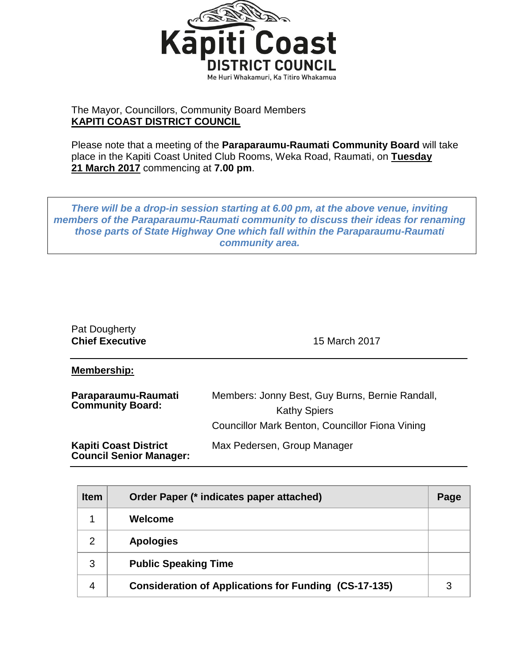

## The Mayor, Councillors, Community Board Members **KAPITI COAST DISTRICT COUNCIL**

Please note that a meeting of the **Paraparaumu-Raumati Community Board** will take place in the Kapiti Coast United Club Rooms, Weka Road, Raumati, on **Tuesday 21 March 2017** commencing at **7.00 pm**.

*There will be a drop-in session starting at 6.00 pm, at the above venue, inviting members of the Paraparaumu-Raumati community to discuss their ideas for renaming those parts of State Highway One which fall within the Paraparaumu-Raumati community area.*

| Pat Dougherty<br><b>Chief Executive</b>                        | 15 March 2017                                                                                                             |
|----------------------------------------------------------------|---------------------------------------------------------------------------------------------------------------------------|
| Membership:                                                    |                                                                                                                           |
| Paraparaumu-Raumati<br><b>Community Board:</b>                 | Members: Jonny Best, Guy Burns, Bernie Randall,<br><b>Kathy Spiers</b><br>Councillor Mark Benton, Councillor Fiona Vining |
| <b>Kapiti Coast District</b><br><b>Council Senior Manager:</b> | Max Pedersen, Group Manager                                                                                               |

| <b>Item</b> | Order Paper (* indicates paper attached)                     | Page |
|-------------|--------------------------------------------------------------|------|
| 1           | Welcome                                                      |      |
| 2           | <b>Apologies</b>                                             |      |
| 3           | <b>Public Speaking Time</b>                                  |      |
| 4           | <b>Consideration of Applications for Funding (CS-17-135)</b> |      |